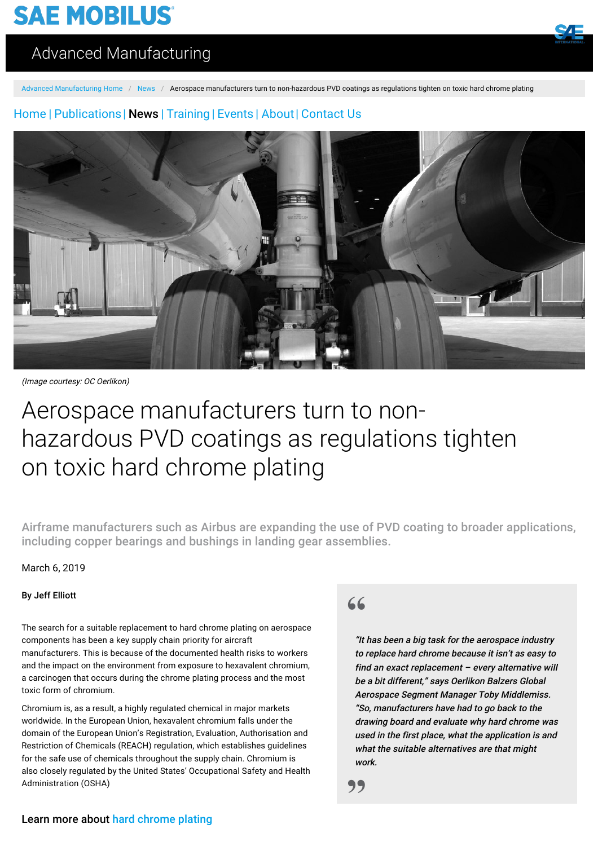# **SAE MOBILUS**



## [Advanced Manufacturing](https://saemobilus.sae.org/advanced-manufacturing/)

[Advanced Manufacturing Home](https://saemobilus.sae.org/advanced-manufacturing/) / [News](https://saemobilus.sae.org/advanced-manufacturing/news/) / Aerospace manufacturers turn to non-hazardous PVD coatings as regulations tighten on toxic hard chrome plating

### [Home](https://saemobilus.sae.org/advanced-manufacturing/) | [Publications](https://saemobilus.sae.org/advanced-manufacturing/publications/)| [News](https://saemobilus.sae.org/advanced-manufacturing/news/) | [Training](https://saemobilus.sae.org/advanced-manufacturing/training/) | [Events](https://saemobilus.sae.org/advanced-manufacturing/event/) | [About](https://saemobilus.sae.org/advanced-manufacturing/about/)| [Contact Us](https://saemobilus.sae.org/advanced-manufacturing/contact-us/)



(Image courtesy: OC Oerlikon)

# Aerospace manufacturers turn to nonhazardous PVD coatings as regulations tighten on toxic hard chrome plating

Airframe manufacturers such as Airbus are expanding the use of PVD coating to broader applications, including copper bearings and bushings in landing gear assemblies.

March 6, 2019

#### By Jeff Elliott

The search for a suitable replacement to hard chrome plating on aerospace components has been a key supply chain priority for aircraft manufacturers. This is because of the documented health risks to workers and the impact on the environment from exposure to hexavalent chromium, a carcinogen that occurs during the chrome plating process and the most toxic form of chromium.

Chromium is, as a result, a highly regulated chemical in major markets worldwide. In the European Union, hexavalent chromium falls under the domain of the European Union's Registration, Evaluation, Authorisation and Restriction of Chemicals (REACH) regulation, which establishes guidelines for the safe use of chemicals throughout the supply chain. Chromium is also closely regulated by the United States' Occupational Safety and Health Administration (OSHA)

## **"**

"It has been a big task for the aerospace industry to replace hard chrome because it isn't as easy to find an exact replacement – every alternative will be a bit different," says Oerlikon Balzers Global Aerospace Segment Manager Toby Middlemiss. "So, manufacturers have had to go back to the drawing board and evaluate why hard chrome was used in the first place, what the application is and what the suitable alternatives are that might work.

**"**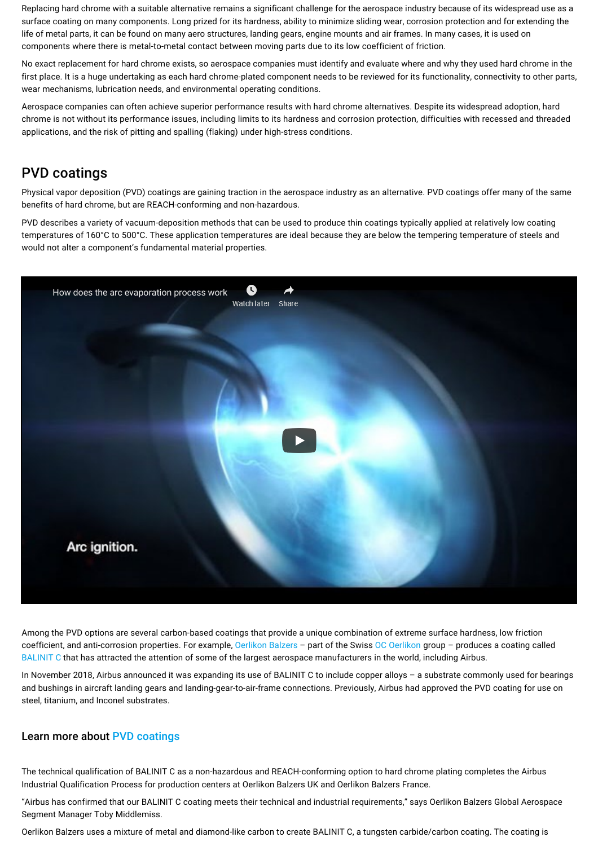Replacing hard chrome with a suitable alternative remains a significant challenge for the aerospace industry because of its widespread use as a surface coating on many components. Long prized for its hardness, ability to minimize sliding wear, corrosion protection and for extending the life of metal parts, it can be found on many aero structures, landing gears, engine mounts and air frames. In many cases, it is used on components where there is metal-to-metal contact between moving parts due to its low coefficient of friction.

No exact replacement for hard chrome exists, so aerospace companies must identify and evaluate where and why they used hard chrome in the first place. It is a huge undertaking as each hard chrome-plated component needs to be reviewed for its functionality, connectivity to other parts, wear mechanisms, lubrication needs, and environmental operating conditions.

Aerospace companies can often achieve superior performance results with hard chrome alternatives. Despite its widespread adoption, hard chrome is not without its performance issues, including limits to its hardness and corrosion protection, difficulties with recessed and threaded applications, and the risk of pitting and spalling (flaking) under high-stress conditions.

### PVD coatings

Physical vapor deposition (PVD) coatings are gaining traction in the aerospace industry as an alternative. PVD coatings offer many of the same benefits of hard chrome, but are REACH-conforming and non-hazardous.

PVD describes a variety of vacuum-deposition methods that can be used to produce thin coatings typically applied at relatively low coating temperatures of 160°C to 500°C. These application temperatures are ideal because they are below the tempering temperature of steels and would not alter a component's fundamental material properties.



Among the PVD options are several carbon-based coatings that provide a unique combination of extreme surface hardness, low friction coefficient, and anti-corrosion properties. For example, [Oerlikon Balzers](https://www.oerlikon.com/balzers/us/en/) – part of the Swiss [OC Oerlikon](https://www.oerlikon.com/en/) group – produces a coating called [BALINIT C](https://www.oerlikon.com/balzers/us/en/portfolio/balzers-surface-solutions/pvd-and-pacvd-based-coatings/balinit/carbon-dlc-based/balinit-c/) that has attracted the attention of some of the largest aerospace manufacturers in the world, including Airbus.

In November 2018, Airbus announced it was expanding its use of BALINIT C to include copper alloys – a substrate commonly used for bearings and bushings in aircraft landing gears and landing-gear-to-air-frame connections. Previously, Airbus had approved the PVD coating for use on steel, titanium, and Inconel substrates.

#### Learn more about [PVD coatings](https://www.sae.org/search/?qt=pvd)

The technical qualification of BALINIT C as a non-hazardous and REACH-conforming option to hard chrome plating completes the Airbus Industrial Qualification Process for production centers at Oerlikon Balzers UK and Oerlikon Balzers France.

"Airbus has confirmed that our BALINIT C coating meets their technical and industrial requirements," says Oerlikon Balzers Global Aerospace Segment Manager Toby Middlemiss.

Oerlikon Balzers uses a mixture of metal and diamond-like carbon to create BALINIT C, a tungsten carbide/carbon coating. The coating is